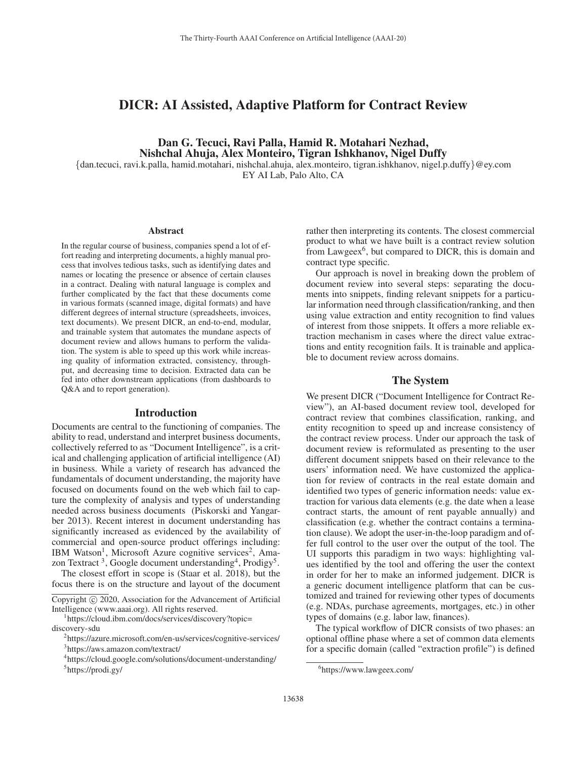# DICR: AI Assisted, Adaptive Platform for Contract Review

## Dan G. Tecuci, Ravi Palla, Hamid R. Motahari Nezhad, Nishchal Ahuja, Alex Monteiro, Tigran Ishkhanov, Nigel Duffy

{dan.tecuci, ravi.k.palla, hamid.motahari, nishchal.ahuja, alex.monteiro, tigran.ishkhanov, nigel.p.duffy}@ey.com EY AI Lab, Palo Alto, CA

Abstract

In the regular course of business, companies spend a lot of effort reading and interpreting documents, a highly manual process that involves tedious tasks, such as identifying dates and names or locating the presence or absence of certain clauses in a contract. Dealing with natural language is complex and further complicated by the fact that these documents come in various formats (scanned image, digital formats) and have different degrees of internal structure (spreadsheets, invoices, text documents). We present DICR, an end-to-end, modular, and trainable system that automates the mundane aspects of document review and allows humans to perform the validation. The system is able to speed up this work while increasing quality of information extracted, consistency, throughput, and decreasing time to decision. Extracted data can be fed into other downstream applications (from dashboards to Q&A and to report generation).

## **Introduction**

Documents are central to the functioning of companies. The ability to read, understand and interpret business documents, collectively referred to as "Document Intelligence", is a critical and challenging application of artificial intelligence (AI) in business. While a variety of research has advanced the fundamentals of document understanding, the majority have focused on documents found on the web which fail to capture the complexity of analysis and types of understanding needed across business documents (Piskorski and Yangarber 2013). Recent interest in document understanding has significantly increased as evidenced by the availability of commercial and open-source product offerings including: IBM Watson<sup>1</sup>, Microsoft Azure cognitive services<sup>2</sup>, Amazon Textract<sup>3</sup>, Google document understanding<sup>4</sup>, Prodigy<sup>5</sup>.

The closest effort in scope is (Staar et al. 2018), but the focus there is on the structure and layout of the document

Copyright  $\odot$  2020, Association for the Advancement of Artificial Intelligence (www.aaai.org). All rights reserved.

https://cloud.ibm.com/docs/services/discovery?topic= discovery-sdu

rather then interpreting its contents. The closest commercial product to what we have built is a contract review solution from Lawgeex $<sup>6</sup>$ , but compared to DICR, this is domain and</sup> contract type specific.

Our approach is novel in breaking down the problem of document review into several steps: separating the documents into snippets, finding relevant snippets for a particular information need through classification/ranking, and then using value extraction and entity recognition to find values of interest from those snippets. It offers a more reliable extraction mechanism in cases where the direct value extractions and entity recognition fails. It is trainable and applicable to document review across domains.

#### The System

We present DICR ("Document Intelligence for Contract Review"), an AI-based document review tool, developed for contract review that combines classification, ranking, and entity recognition to speed up and increase consistency of the contract review process. Under our approach the task of document review is reformulated as presenting to the user different document snippets based on their relevance to the users' information need. We have customized the application for review of contracts in the real estate domain and identified two types of generic information needs: value extraction for various data elements (e.g. the date when a lease contract starts, the amount of rent payable annually) and classification (e.g. whether the contract contains a termination clause). We adopt the user-in-the-loop paradigm and offer full control to the user over the output of the tool. The UI supports this paradigm in two ways: highlighting values identified by the tool and offering the user the context in order for her to make an informed judgement. DICR is a generic document intelligence platform that can be customized and trained for reviewing other types of documents (e.g. NDAs, purchase agreements, mortgages, etc.) in other types of domains (e.g. labor law, finances).

The typical workflow of DICR consists of two phases: an optional offline phase where a set of common data elements for a specific domain (called "extraction profile") is defined

<sup>2</sup> https://azure.microsoft.com/en-us/services/cognitive-services/ 3 https://aws.amazon.com/textract/

<sup>4</sup> https://cloud.google.com/solutions/document-understanding/ 5 https://prodi.gy/

<sup>6</sup> https://www.lawgeex.com/